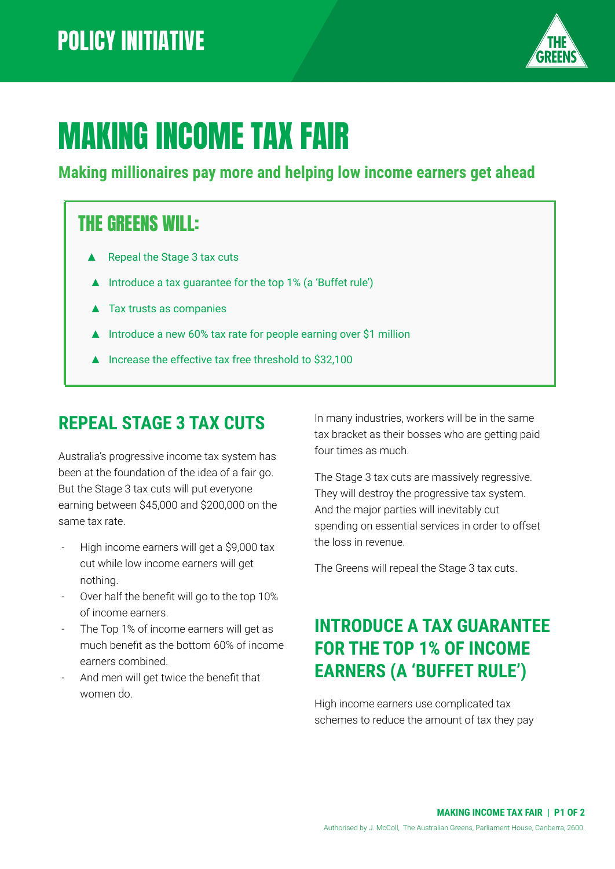

# MAKING INCOME TAX FAIR

#### **Making millionaires pay more and helping low income earners get ahead**

### THE GREENS WILL:

- Repeal the Stage 3 tax cuts
- ▲ Introduce a tax guarantee for the top 1% (a 'Buffet rule')
- ▲ Tax trusts as companies
- ▲ Introduce a new 60% tax rate for people earning over \$1 million
- ▲ Increase the effective tax free threshold to \$32,100

### **REPEAL STAGE 3 TAX CUTS**

Australia's progressive income tax system has been at the foundation of the idea of a fair go. But the Stage 3 tax cuts will put everyone earning between \$45,000 and \$200,000 on the same tax rate.

- High income earners will get a \$9,000 tax cut while low income earners will get nothing.
- Over half the benefit will go to the top 10% of income earners.
- The Top 1% of income earners will get as much benefit as the bottom 60% of income earners combined.
- And men will get twice the benefit that women do.

In many industries, workers will be in the same tax bracket as their bosses who are getting paid four times as much.

The Stage 3 tax cuts are massively regressive. They will destroy the progressive tax system. And the major parties will inevitably cut spending on essential services in order to offset the loss in revenue.

The Greens will repeal the Stage 3 tax cuts.

### **INTRODUCE A TAX GUARANTEE FOR THE TOP 1% OF INCOME EARNERS (A 'BUFFET RULE')**

High income earners use complicated tax schemes to reduce the amount of tax they pay